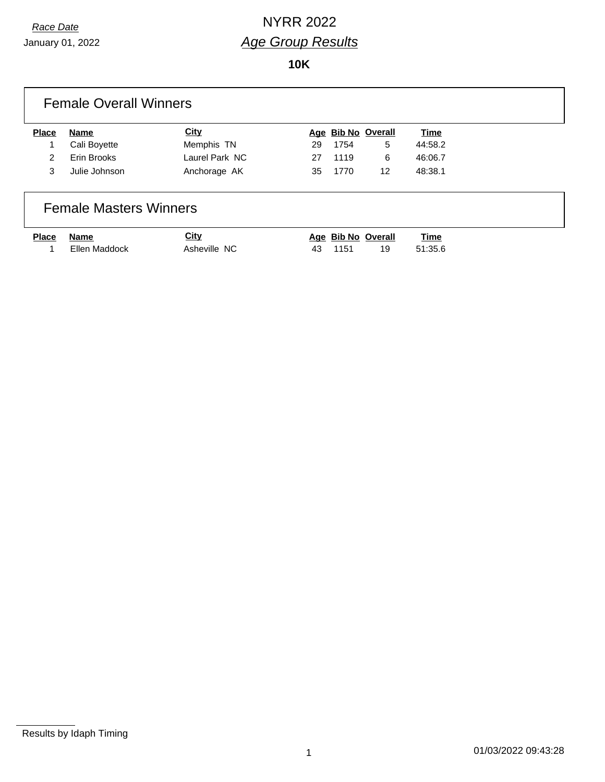January 01, 2022

**10K**

| <b>Place</b>  | Name          | <b>City</b>    |    | Age Bib No Overall |    | <b>Time</b> |
|---------------|---------------|----------------|----|--------------------|----|-------------|
|               | Cali Boyette  | Memphis TN     | 29 | 1754               | 5  | 44:58.2     |
| $\mathcal{P}$ | Erin Brooks   | Laurel Park NC | 27 | 1119               | 6  | 46:06.7     |
| 3             | Julie Johnson | Anchorage AK   | 35 | 1770               | 12 | 48:38.1     |

| Place Name |               | <b>City</b>  | Age Bib No Overall |     | <u>Time</u> |
|------------|---------------|--------------|--------------------|-----|-------------|
|            | Ellen Maddock | Asheville NC | 43 1151            | 19. | 51:35.6     |

Results by Idaph Timing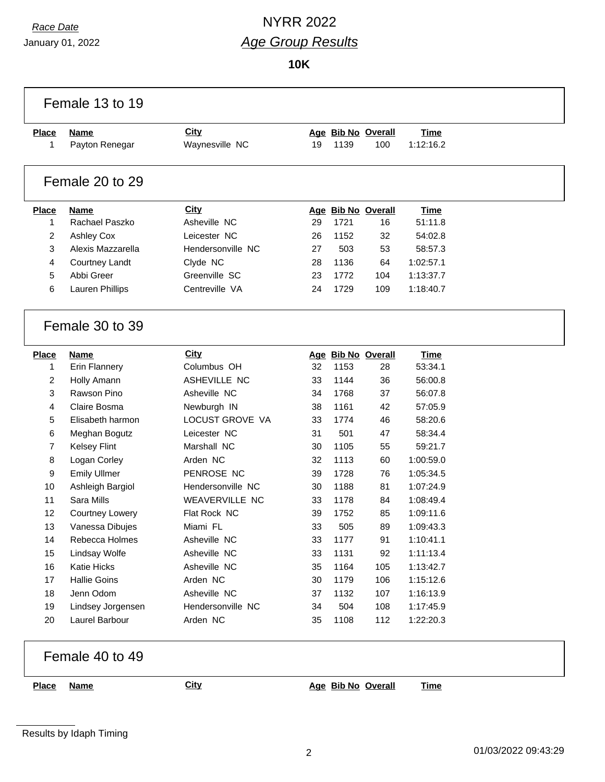January 01, 2022

### *Race Date* NYRR 2022 *Age Group Results*

**10K**

| <b>Place</b> | Name                | <b>City</b>           |    |      | Age Bib No Overall | <b>Time</b> |
|--------------|---------------------|-----------------------|----|------|--------------------|-------------|
| 1            | Payton Renegar      | Waynesville NC        | 19 | 1139 | 100                | 1:12:16.2   |
|              | Female 20 to 29     |                       |    |      |                    |             |
| <b>Place</b> | <b>Name</b>         | <b>City</b>           |    |      | Age Bib No Overall | <b>Time</b> |
| 1            | Rachael Paszko      | Asheville NC          | 29 | 1721 | 16                 | 51:11.8     |
| 2            | <b>Ashley Cox</b>   | Leicester NC          | 26 | 1152 | 32                 | 54:02.8     |
| 3            | Alexis Mazzarella   | Hendersonville NC     | 27 | 503  | 53                 | 58:57.3     |
| 4            | Courtney Landt      | Clyde NC              | 28 | 1136 | 64                 | 1:02:57.1   |
| 5            | Abbi Greer          | Greenville SC         | 23 | 1772 | 104                | 1:13:37.7   |
| 6            | Lauren Phillips     | Centreville VA        | 24 | 1729 | 109                | 1:18:40.7   |
|              | Female 30 to 39     |                       |    |      |                    |             |
| <b>Place</b> | <b>Name</b>         | City                  |    |      | Age Bib No Overall | <b>Time</b> |
| 1            | Erin Flannery       | Columbus OH           | 32 | 1153 | 28                 | 53:34.1     |
| 2            | Holly Amann         | ASHEVILLE NC          | 33 | 1144 | 36                 | 56:00.8     |
| 3            | Rawson Pino         | Asheville NC          | 34 | 1768 | 37                 | 56:07.8     |
| 4            | Claire Bosma        | Newburgh IN           | 38 | 1161 | 42                 | 57:05.9     |
| 5            | Elisabeth harmon    | LOCUST GROVE VA       | 33 | 1774 | 46                 | 58:20.6     |
| 6            | Meghan Bogutz       | Leicester NC          | 31 | 501  | 47                 | 58:34.4     |
| 7            | <b>Kelsey Flint</b> | Marshall NC           | 30 | 1105 | 55                 | 59:21.7     |
| 8            | Logan Corley        | Arden NC              | 32 | 1113 | 60                 | 1:00:59.0   |
|              | <b>Emily Ullmer</b> | PENROSE NC            | 39 | 1728 | 76                 | 1:05:34.5   |
| 9            | Ashleigh Bargiol    | Hendersonville NC     | 30 | 1188 | 81                 | 1:07:24.9   |
| 10           |                     |                       |    |      |                    | 1:08:49.4   |
| 11           | Sara Mills          | <b>WEAVERVILLE NC</b> | 33 | 1178 | 84                 |             |
| 12           | Courtney Lowery     | Flat Rock NC          | 39 | 1752 | 85                 | 1:09:11.6   |
| 13           | Vanessa Dibujes     | Miami FL              | 33 | 505  | 89                 | 1:09:43.3   |
| 14           | Rebecca Holmes      | Asheville NC          | 33 | 1177 | 91                 | 1:10:41.1   |
| 15           | Lindsay Wolfe       | Asheville NC          | 33 | 1131 | 92                 | 1:11:13.4   |
| 16           | Katie Hicks         | Asheville NC          | 35 | 1164 | 105                | 1:13:42.7   |
| 17           | <b>Hallie Goins</b> | Arden NC              | 30 | 1179 | 106                | 1:15:12.6   |
| 18           | Jenn Odom           | Asheville NC          | 37 | 1132 | 107                | 1:16:13.9   |
| 19           | Lindsey Jorgensen   | Hendersonville NC     | 34 | 504  | 108                | 1:17:45.9   |

**Place Name City Age Bib No Overall Time**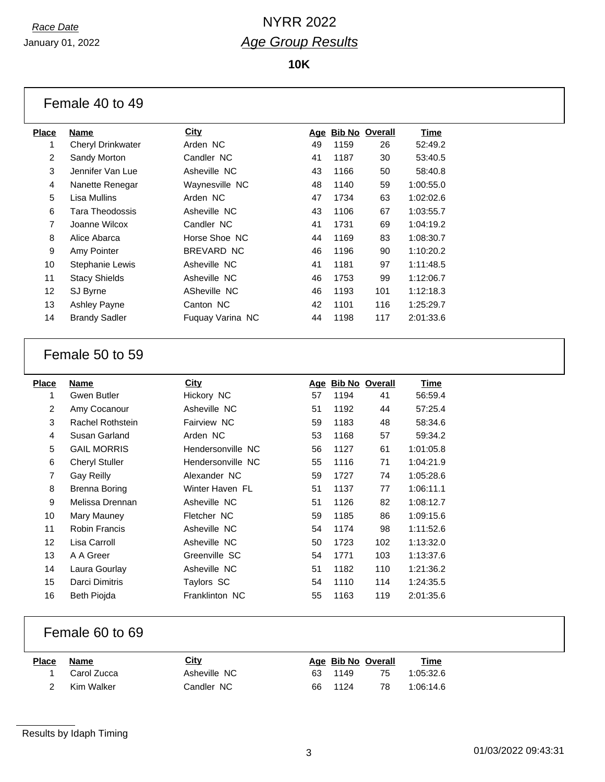January 01, 2022

**10K**

| Female 40 to 49 |  |  |  |  |
|-----------------|--|--|--|--|
|-----------------|--|--|--|--|

|                   |                          | <b>City</b>      |     |      |                       |             |
|-------------------|--------------------------|------------------|-----|------|-----------------------|-------------|
| Place             | Name                     |                  | Age |      | <b>Bib No Overall</b> | <b>Time</b> |
| 1                 | <b>Cheryl Drinkwater</b> | Arden NC         | 49  | 1159 | 26                    | 52:49.2     |
| 2                 | Sandy Morton             | Candler NC       | 41  | 1187 | 30                    | 53:40.5     |
| 3                 | Jennifer Van Lue         | Asheville NC     | 43  | 1166 | 50                    | 58:40.8     |
| 4                 | Nanette Renegar          | Waynesville NC   | 48  | 1140 | 59                    | 1:00:55.0   |
| 5                 | Lisa Mullins             | Arden NC         | 47  | 1734 | 63                    | 1:02:02.6   |
| 6                 | Tara Theodossis          | Asheville NC     | 43  | 1106 | 67                    | 1:03:55.7   |
| $\overline{7}$    | Joanne Wilcox            | Candler NC       | 41  | 1731 | 69                    | 1:04:19.2   |
| 8                 | Alice Abarca             | Horse Shoe, NC   | 44  | 1169 | 83                    | 1:08:30.7   |
| 9                 | Amy Pointer              | BREVARD NC       | 46  | 1196 | 90                    | 1:10:20.2   |
| 10                | <b>Stephanie Lewis</b>   | Asheville NC     | 41  | 1181 | 97                    | 1:11:48.5   |
| 11                | <b>Stacy Shields</b>     | Asheville NC     | 46  | 1753 | 99                    | 1:12:06.7   |
| $12 \overline{ }$ | SJ Byrne                 | ASheville NC     | 46  | 1193 | 101                   | 1:12:18.3   |
| 13                | <b>Ashley Payne</b>      | Canton NC        | 42  | 1101 | 116                   | 1:25:29.7   |
| 14                | <b>Brandy Sadler</b>     | Fuquay Varina NC | 44  | 1198 | 117                   | 2:01:33.6   |
|                   |                          |                  |     |      |                       |             |

#### Female 50 to 59

| Place          | Name                  | <b>City</b>        | Age | <b>Bib No Overall</b> |     | Time      |
|----------------|-----------------------|--------------------|-----|-----------------------|-----|-----------|
| 1              | Gwen Butler           | Hickory NC         | 57  | 1194                  | 41  | 56:59.4   |
| $\overline{2}$ | Amy Cocanour          | Asheville NC       | 51  | 1192                  | 44  | 57:25.4   |
| 3              | Rachel Rothstein      | <b>Fairview NC</b> | 59  | 1183                  | 48  | 58:34.6   |
| 4              | Susan Garland         | Arden NC           | 53  | 1168                  | 57  | 59:34.2   |
| 5              | <b>GAIL MORRIS</b>    | Hendersonville NC  | 56  | 1127                  | 61  | 1:01:05.8 |
| 6              | <b>Cheryl Stuller</b> | Hendersonville NC  | 55  | 1116                  | 71  | 1:04:21.9 |
| $\overline{7}$ | Gay Reilly            | Alexander NC       | 59  | 1727                  | 74  | 1:05:28.6 |
| 8              | Brenna Boring         | Winter Haven FL    | 51  | 1137                  | 77  | 1:06:11.1 |
| 9              | Melissa Drennan       | Asheville NC       | 51  | 1126                  | 82  | 1:08:12.7 |
| 10             | Mary Mauney           | Fletcher NC        | 59  | 1185                  | 86  | 1:09:15.6 |
| 11             | <b>Robin Francis</b>  | Asheville NC       | 54  | 1174                  | 98  | 1:11:52.6 |
| 12             | Lisa Carroll          | Asheville NC       | 50  | 1723                  | 102 | 1:13:32.0 |
| 13             | A A Greer             | Greenville SC      | 54  | 1771                  | 103 | 1:13:37.6 |
| 14             | Laura Gourlay         | Asheville NC       | 51  | 1182                  | 110 | 1:21:36.2 |
| 15             | Darci Dimitris        | Taylors SC         | 54  | 1110                  | 114 | 1:24:35.5 |
| 16             | <b>Beth Piojda</b>    | Franklinton NC     | 55  | 1163                  | 119 | 2:01:35.6 |

#### Female 60 to 69

| <b>Place</b> | Name          | City         | Age Bib No Overall |    | <u>Time</u> |
|--------------|---------------|--------------|--------------------|----|-------------|
|              | 1 Carol Zucca | Asheville NC | 63 1149            | 75 | 1:05:32.6   |
|              | 2 Kim Walker  | Candler NC   | 66 1124            | 78 | 1:06:14.6   |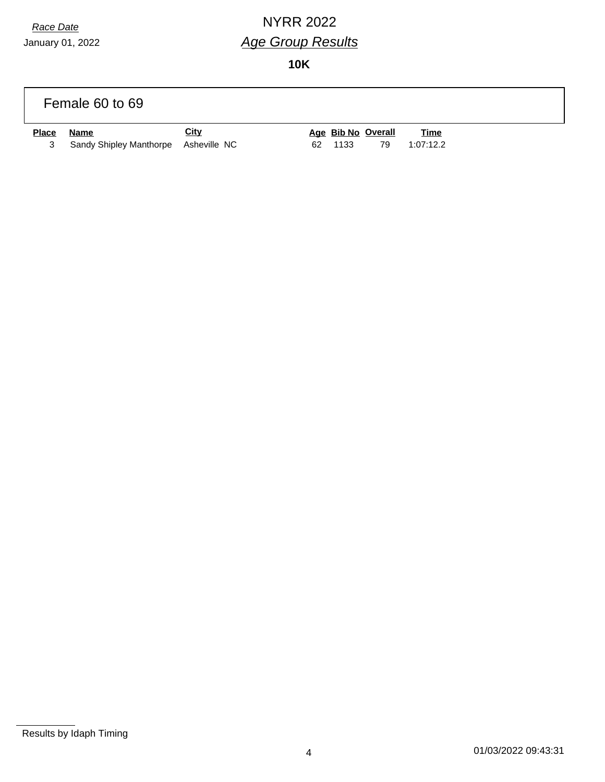January 01, 2022

### *Race Date* NYRR 2022 *Age Group Results*

**10K**

|              | Female 60 to 69                      |             |    |      |                    |             |  |
|--------------|--------------------------------------|-------------|----|------|--------------------|-------------|--|
| <b>Place</b> | <u>Name</u>                          | <u>City</u> |    |      | Age Bib No Overall | <b>Time</b> |  |
| 3            | Sandy Shipley Manthorpe Asheville NC |             | 62 | 1133 | 79                 | 1:07:12.2   |  |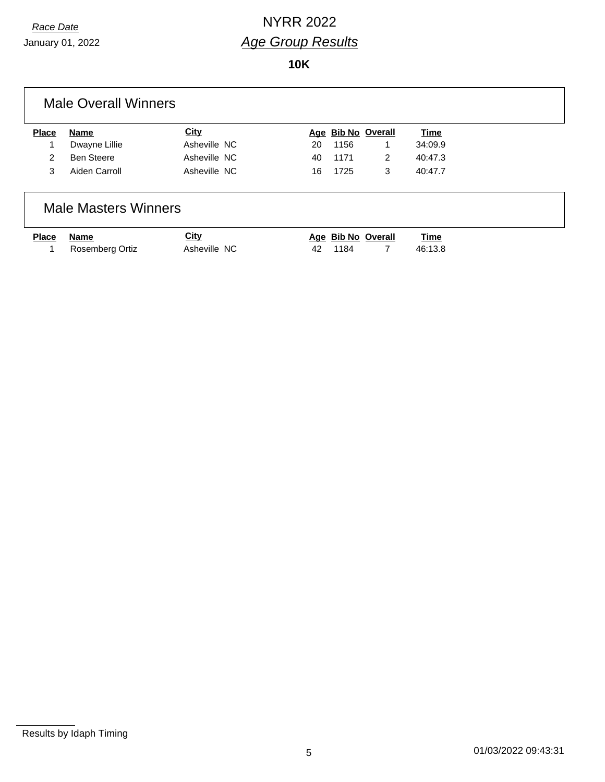January 01, 2022

**10K**

| <b>Place</b> | Name              | <b>City</b>  |    | Age Bib No Overall |   | Time    |
|--------------|-------------------|--------------|----|--------------------|---|---------|
|              | Dwayne Lillie     | Asheville NC | 20 | 1156               |   | 34:09.9 |
| 2            | <b>Ben Steere</b> | Asheville NC | 40 | 1171               | 2 | 40:47.3 |
| 3            | Aiden Carroll     | Asheville NC | 16 | 1725               | 3 | 40:47.7 |

| <u>Place</u> | Name              | <u>City</u>  | Age Bib No Overall | <u>Time</u> |
|--------------|-------------------|--------------|--------------------|-------------|
|              | 1 Rosemberg Ortiz | Asheville NC | 42 1184            | 46:13.8     |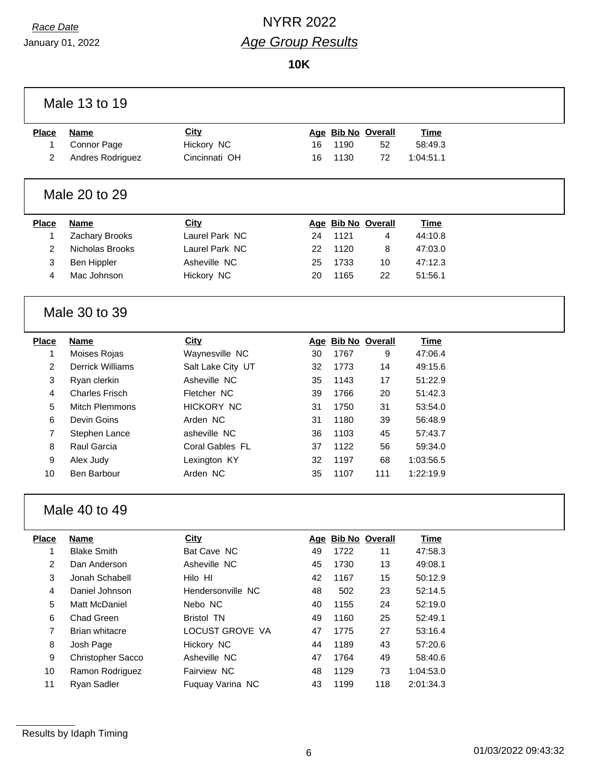January 01, 2022

## *Race Date* NYRR 2022 *Age Group Results*

**10K**

|                | Male 13 to 19           |                   |    |      |                    |             |
|----------------|-------------------------|-------------------|----|------|--------------------|-------------|
| <b>Place</b>   | <b>Name</b>             | City              |    |      | Age Bib No Overall | <b>Time</b> |
| 1              | Connor Page             | Hickory NC        | 16 | 1190 | 52                 | 58:49.3     |
| 2              | Andres Rodriguez        | Cincinnati OH     | 16 | 1130 | 72                 | 1:04:51.1   |
|                | Male 20 to 29           |                   |    |      |                    |             |
| <b>Place</b>   | <b>Name</b>             | City              |    |      | Age Bib No Overall | <b>Time</b> |
| 1              | Zachary Brooks          | Laurel Park NC    | 24 | 1121 | 4                  | 44:10.8     |
| $\overline{2}$ | Nicholas Brooks         | Laurel Park NC    | 22 | 1120 | 8                  | 47:03.0     |
| 3              | Ben Hippler             | Asheville NC      | 25 | 1733 | 10                 | 47:12.3     |
| 4              | Mac Johnson             | Hickory NC        | 20 | 1165 | 22                 | 51:56.1     |
|                | Male 30 to 39           |                   |    |      |                    |             |
| <b>Place</b>   | <b>Name</b>             | City              |    |      | Age Bib No Overall | <b>Time</b> |
| 1              | Moises Rojas            | Waynesville NC    | 30 | 1767 | 9                  | 47:06.4     |
| $\overline{2}$ | <b>Derrick Williams</b> | Salt Lake City UT | 32 | 1773 | 14                 | 49:15.6     |
| 3              | Ryan clerkin            | Asheville NC      | 35 | 1143 | 17                 | 51:22.9     |
| 4              | <b>Charles Frisch</b>   | Fletcher NC       | 39 | 1766 | 20                 | 51:42.3     |
| 5              | <b>Mitch Plemmons</b>   | <b>HICKORY NC</b> | 31 | 1750 | 31                 | 53:54.0     |
| 6              | Devin Goins             | Arden NC          | 31 | 1180 | 39                 | 56:48.9     |
| 7              | Stephen Lance           | asheville NC      | 36 | 1103 | 45                 | 57:43.7     |
| 8              | Raul Garcia             | Coral Gables FL   | 37 | 1122 | 56                 | 59:34.0     |
| 9              | Alex Judy               | Lexington KY      | 32 | 1197 | 68                 | 1:03:56.5   |
| 10             | Ben Barbour             | Arden NC          | 35 | 1107 | 111                | 1:22:19.9   |
|                | Male 40 to 49           |                   |    |      |                    |             |
| <b>Place</b>   | <b>Name</b>             | <b>City</b>       |    |      | Age Bib No Overall | <b>Time</b> |
| 1              | <b>Blake Smith</b>      | Bat Cave NC       | 49 | 1722 | 11                 | 47:58.3     |
| 2              | Dan Anderson            | Asheville NC      | 45 | 1730 | 13                 | 49:08.1     |
| 3              | Jonah Schabell          | Hilo HI           | 42 | 1167 | 15                 | 50:12.9     |
| 4              | Daniel Johnson          | Hendersonville NC | 48 | 502  | 23                 | 52:14.5     |
| 5              | Matt McDaniel           | Nebo NC           | 40 | 1155 | 24                 | 52:19.0     |
| 6              | Chad Green              | <b>Bristol TN</b> | 49 | 1160 | 25                 | 52:49.1     |
| 7              | <b>Brian whitacre</b>   | LOCUST GROVE VA   | 47 | 1775 | 27                 | 53:16.4     |
| 8              | Josh Page               | Hickory NC        | 44 | 1189 | 43                 | 57:20.6     |
| 9              | Christopher Sacco       | Asheville NC      | 47 | 1764 | 49                 | 58:40.6     |
| 10             | Ramon Rodriguez         | Fairview NC       | 48 | 1129 | 73                 | 1:04:53.0   |
| 11             | Ryan Sadler             | Fuquay Varina NC  | 43 | 1199 | 118                | 2:01:34.3   |